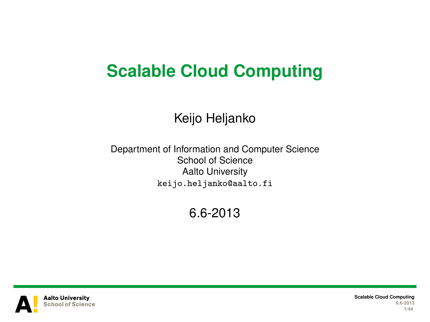## **Scalable Cloud Computing**

#### Keijo Heljanko

Department of Information and Computer Science School of Science Aalto University keijo.heljanko@aalto.fi

6.6-2013



**Scalable Cloud Computing 6.6-2013 1/44**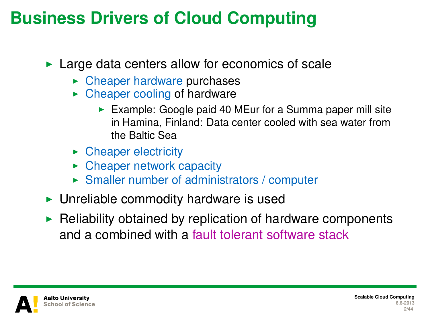#### **Business Drivers of Cloud Computing**

 $\blacktriangleright$  Large data centers allow for economics of scale

- $\triangleright$  Cheaper hardware purchases
- $\triangleright$  Cheaper cooling of hardware
	- Example: Google paid 40 MEur for a Summa paper mill site in Hamina, Finland: Data center cooled with sea water from the Baltic Sea
- $\triangleright$  Cheaper electricity
- $\triangleright$  Cheaper network capacity
- $\triangleright$  Smaller number of administrators / computer
- $\triangleright$  Unreliable commodity hardware is used
- $\blacktriangleright$  Reliability obtained by replication of hardware components and a combined with a fault tolerant software stack



**Scalable Cloud Computing 6.6-2013 2/44**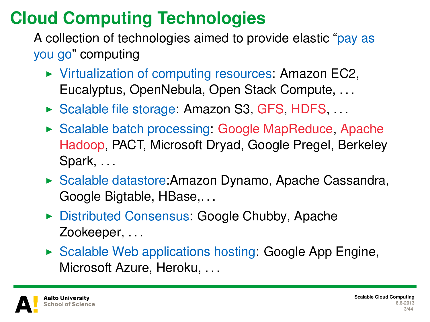# **Cloud Computing Technologies**

A collection of technologies aimed to provide elastic "pay as you go" computing

- $\triangleright$  Virtualization of computing resources: Amazon EC2, Eucalyptus, OpenNebula, Open Stack Compute, . . .
- $\triangleright$  Scalable file storage: Amazon S3, GFS, HDFS, ...
- $\triangleright$  Scalable batch processing: Google MapReduce, Apache Hadoop, PACT, Microsoft Dryad, Google Pregel, Berkeley Spark, ...
- ► Scalable datastore: Amazon Dynamo, Apache Cassandra, Google Bigtable, HBase,. . .
- ▶ Distributed Consensus: Google Chubby, Apache Zookeeper, ...
- $\triangleright$  Scalable Web applications hosting: Google App Engine, Microsoft Azure, Heroku, . . .

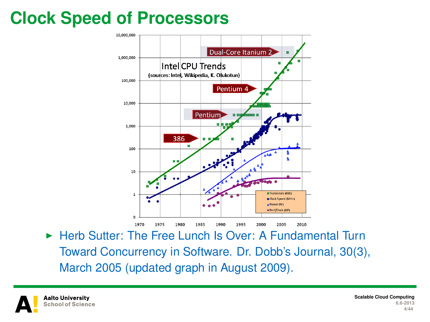# **Clock Speed of Processors**



▶ Herb Sutter: The Free Lunch Is Over: A Fundamental Turn Toward Concurrency in Software. Dr. Dobb's Journal, 30(3), March 2005 (updated graph in August 2009).

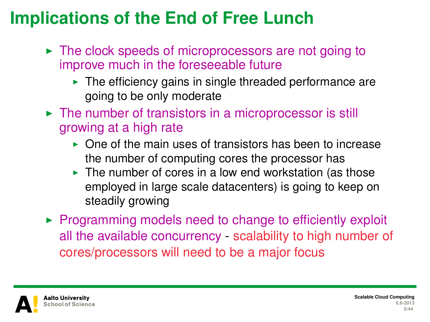# **Implications of the End of Free Lunch**

- $\triangleright$  The clock speeds of microprocessors are not going to improve much in the foreseeable future
	- $\blacktriangleright$  The efficiency gains in single threaded performance are going to be only moderate
- $\triangleright$  The number of transistors in a microprocessor is still growing at a high rate
	- $\triangleright$  One of the main uses of transistors has been to increase the number of computing cores the processor has
	- $\blacktriangleright$  The number of cores in a low end workstation (as those employed in large scale datacenters) is going to keep on steadily growing
- $\triangleright$  Programming models need to change to efficiently exploit all the available concurrency - scalability to high number of cores/processors will need to be a major focus

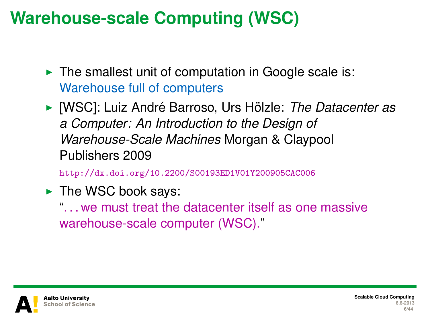## **Warehouse-scale Computing (WSC)**

- $\blacktriangleright$  The smallest unit of computation in Google scale is: Warehouse full of computers
- ▶ [WSC]: Luiz André Barroso, Urs Hölzle: *The Datacenter as a Computer: An Introduction to the Design of Warehouse-Scale Machines* Morgan & Claypool Publishers 2009

<http://dx.doi.org/10.2200/S00193ED1V01Y200905CAC006>

 $\blacktriangleright$  The WSC book says:

". . . we must treat the datacenter itself as one massive warehouse-scale computer (WSC)."

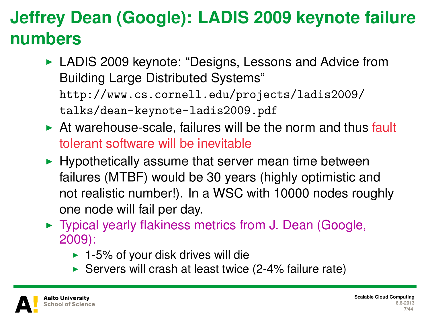# **Jeffrey Dean (Google): LADIS 2009 keynote failure numbers**

- ► LADIS 2009 keynote: "Designs, Lessons and Advice from Building Large Distributed Systems" [http://www.cs.cornell.edu/projects/ladis2009/](http://www.cs.cornell.edu/projects/ladis2009/talks/dean-keynote-ladis2009.pdf) [talks/dean-keynote-ladis2009.pdf](http://www.cs.cornell.edu/projects/ladis2009/talks/dean-keynote-ladis2009.pdf)
- $\triangleright$  At warehouse-scale, failures will be the norm and thus fault tolerant software will be inevitable
- $\blacktriangleright$  Hypothetically assume that server mean time between failures (MTBF) would be 30 years (highly optimistic and not realistic number!). In a WSC with 10000 nodes roughly one node will fail per day.
- $\triangleright$  Typical yearly flakiness metrics from J. Dean (Google, 2009):
	- $\blacktriangleright$  1-5% of your disk drives will die
	- Servers will crash at least twice  $(2-4%$  failure rate)

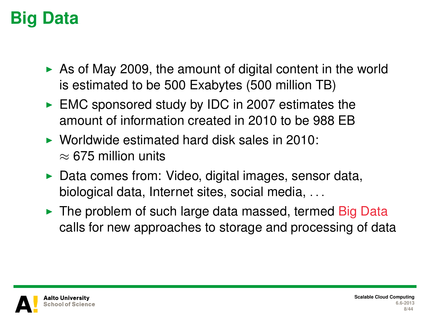## **Big Data**

- $\triangleright$  As of May 2009, the amount of digital content in the world is estimated to be 500 Exabytes (500 million TB)
- $\triangleright$  EMC sponsored study by IDC in 2007 estimates the amount of information created in 2010 to be 988 EB
- $\triangleright$  Worldwide estimated hard disk sales in 2010:  $\approx$  675 million units
- $\triangleright$  Data comes from: Video, digital images, sensor data, biological data, Internet sites, social media, . . .
- $\triangleright$  The problem of such large data massed, termed Big Data calls for new approaches to storage and processing of data

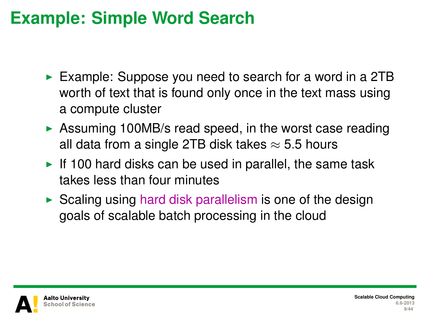#### **Example: Simple Word Search**

- Example: Suppose you need to search for a word in a 2TB worth of text that is found only once in the text mass using a compute cluster
- $\triangleright$  Assuming 100MB/s read speed, in the worst case reading all data from a single 2TB disk takes  $\approx$  5.5 hours
- If 100 hard disks can be used in parallel, the same task takes less than four minutes
- $\triangleright$  Scaling using hard disk parallelism is one of the design goals of scalable batch processing in the cloud

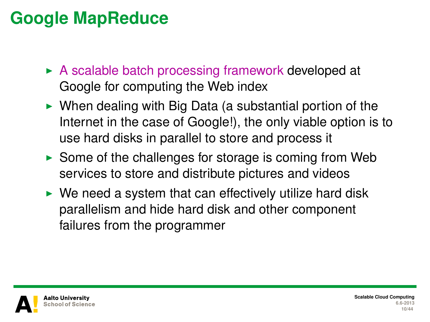## **Google MapReduce**

- $\triangleright$  A scalable batch processing framework developed at Google for computing the Web index
- $\triangleright$  When dealing with Big Data (a substantial portion of the Internet in the case of Google!), the only viable option is to use hard disks in parallel to store and process it
- $\triangleright$  Some of the challenges for storage is coming from Web services to store and distribute pictures and videos
- $\triangleright$  We need a system that can effectively utilize hard disk parallelism and hide hard disk and other component failures from the programmer

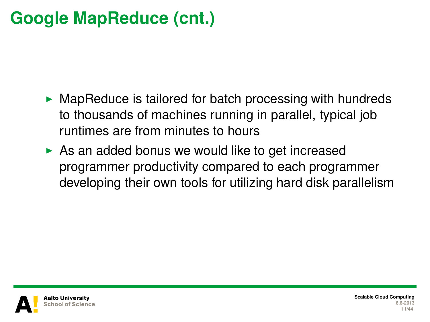# **Google MapReduce (cnt.)**

- $\triangleright$  MapReduce is tailored for batch processing with hundreds to thousands of machines running in parallel, typical job runtimes are from minutes to hours
- $\triangleright$  As an added bonus we would like to get increased programmer productivity compared to each programmer developing their own tools for utilizing hard disk parallelism



**Scalable Cloud Computing 6.6-2013 11/44**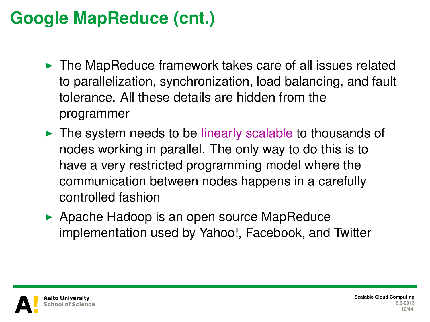# **Google MapReduce (cnt.)**

- $\triangleright$  The MapReduce framework takes care of all issues related to parallelization, synchronization, load balancing, and fault tolerance. All these details are hidden from the programmer
- $\triangleright$  The system needs to be linearly scalable to thousands of nodes working in parallel. The only way to do this is to have a very restricted programming model where the communication between nodes happens in a carefully controlled fashion
- $\triangleright$  Apache Hadoop is an open source MapReduce implementation used by Yahoo!, Facebook, and Twitter

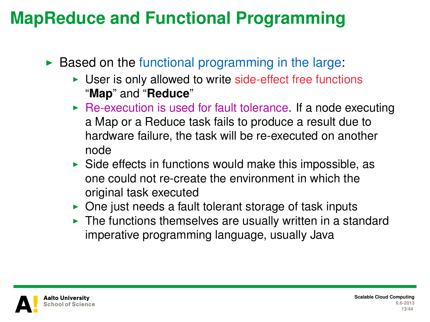## **MapReduce and Functional Programming**

- $\triangleright$  Based on the functional programming in the large:
	- $\triangleright$  User is only allowed to write side-effect free functions "**Map**" and "**Reduce**"
	- $\triangleright$  Re-execution is used for fault tolerance. If a node executing a Map or a Reduce task fails to produce a result due to hardware failure, the task will be re-executed on another node
	- $\triangleright$  Side effects in functions would make this impossible, as one could not re-create the environment in which the original task executed
	- $\triangleright$  One just needs a fault tolerant storage of task inputs
	- $\blacktriangleright$  The functions themselves are usually written in a standard imperative programming language, usually Java

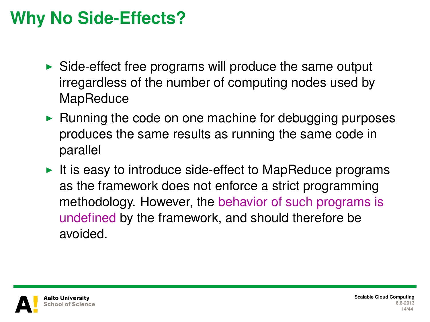# **Why No Side-Effects?**

- $\triangleright$  Side-effect free programs will produce the same output irregardless of the number of computing nodes used by **MapReduce**
- $\triangleright$  Running the code on one machine for debugging purposes produces the same results as running the same code in parallel
- It is easy to introduce side-effect to MapReduce programs as the framework does not enforce a strict programming methodology. However, the behavior of such programs is undefined by the framework, and should therefore be avoided.

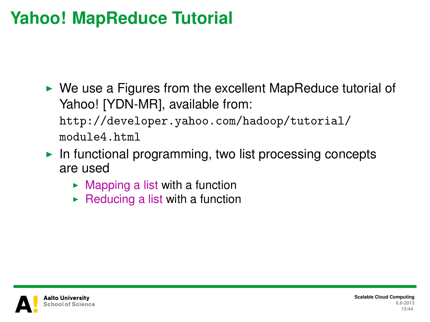## **Yahoo! MapReduce Tutorial**

 $\triangleright$  We use a Figures from the excellent MapReduce tutorial of Yahoo! [YDN-MR], available from:

[http://developer.yahoo.com/hadoop/tutorial/](http://developer.yahoo.com/hadoop/tutorial/module4.html) [module4.html](http://developer.yahoo.com/hadoop/tutorial/module4.html)

- In functional programming, two list processing concepts are used
	- $\blacktriangleright$  Mapping a list with a function
	- $\triangleright$  Reducing a list with a function

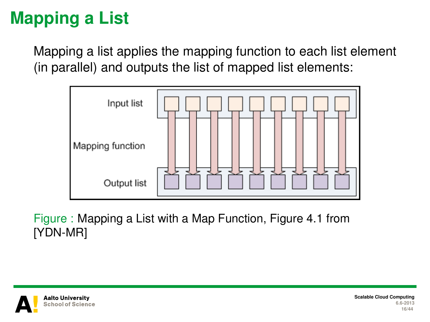# **Mapping a List**

Mapping a list applies the mapping function to each list element (in parallel) and outputs the list of mapped list elements:



Figure : Mapping a List with a Map Function, Figure 4.1 from [YDN-MR]



**Scalable Cloud Computing 6.6-2013 16/44**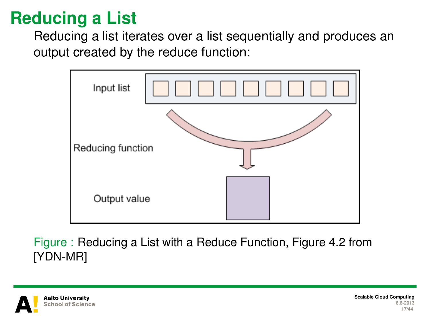# **Reducing a List**

Reducing a list iterates over a list sequentially and produces an output created by the reduce function:



Figure : Reducing a List with a Reduce Function, Figure 4.2 from [YDN-MR]

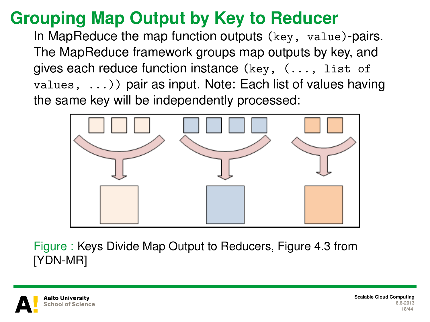# **Grouping Map Output by Key to Reducer**

In MapReduce the map function outputs (key, value)-pairs. The MapReduce framework groups map outputs by key, and gives each reduce function instance (key, (..., list of  $values, \ldots)$  pair as input. Note: Each list of values having the same key will be independently processed:



Figure : Keys Divide Map Output to Reducers, Figure 4.3 from [YDN-MR]

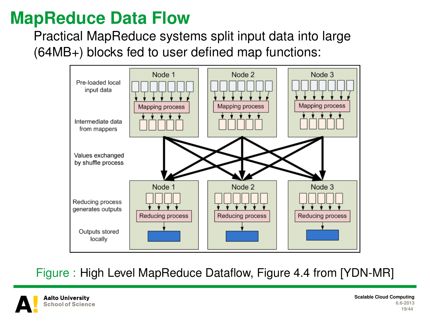#### **MapReduce Data Flow**

Practical MapReduce systems split input data into large (64MB+) blocks fed to user defined map functions:



Figure : High Level MapReduce Dataflow, Figure 4.4 from [YDN-MR]

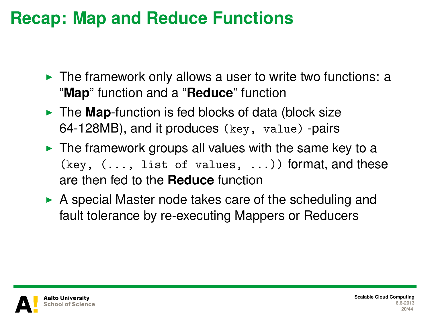#### **Recap: Map and Reduce Functions**

- $\triangleright$  The framework only allows a user to write two functions: a "**Map**" function and a "**Reduce**" function
- I The **Map**-function is fed blocks of data (block size 64-128MB), and it produces (key, value) -pairs
- $\triangleright$  The framework groups all values with the same key to a  $(key, (..., list of values, ...))$  format, and these are then fed to the **Reduce** function
- $\triangleright$  A special Master node takes care of the scheduling and fault tolerance by re-executing Mappers or Reducers

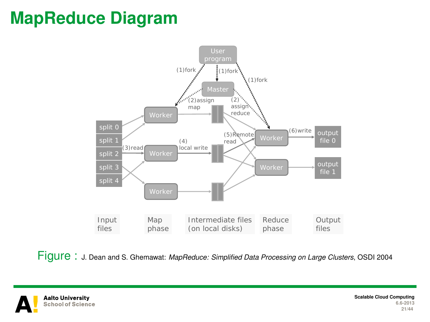## **MapReduce Diagram**



Figure : J. Dean and S. Ghemawat: *MapReduce: Simplified Data Processing on Large Clusters*, OSDI 2004

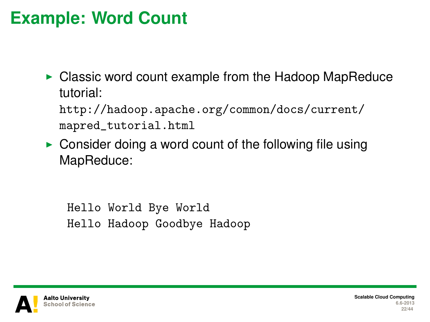#### **Example: Word Count**

 $\triangleright$  Classic word count example from the Hadoop MapReduce tutorial:

[http://hadoop.apache.org/common/docs/current/](http://hadoop.apache.org/common/docs/current/mapred_tutorial.html) [mapred\\_tutorial.html](http://hadoop.apache.org/common/docs/current/mapred_tutorial.html)

 $\triangleright$  Consider doing a word count of the following file using MapReduce:

Hello World Bye World Hello Hadoop Goodbye Hadoop

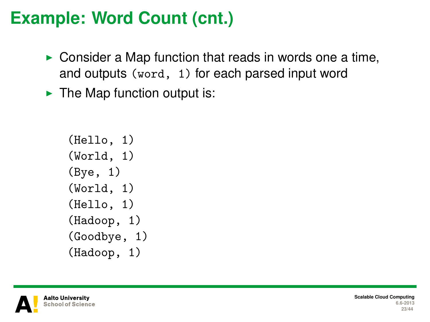## **Example: Word Count (cnt.)**

- $\triangleright$  Consider a Map function that reads in words one a time, and outputs (word, 1) for each parsed input word
- $\blacktriangleright$  The Map function output is:

```
(Hello, 1)
(World, 1)
(Bye, 1)
(World, 1)
(Hello, 1)
(Hadoop, 1)
(Goodbye, 1)
(Hadoop, 1)
```
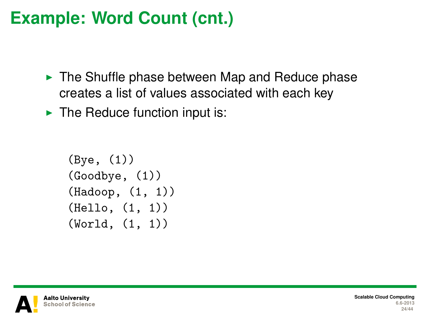## **Example: Word Count (cnt.)**

- $\triangleright$  The Shuffle phase between Map and Reduce phase creates a list of values associated with each key
- $\blacktriangleright$  The Reduce function input is:

```
(Bye, (1))
(Goodbye, (1))
(Hadoop, (1, 1))
(Hello, (1, 1))
(World, (1, 1))
```
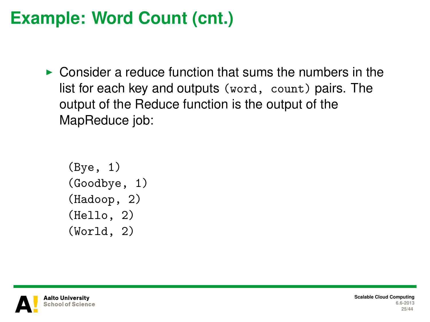## **Example: Word Count (cnt.)**

 $\triangleright$  Consider a reduce function that sums the numbers in the list for each key and outputs (word, count) pairs. The output of the Reduce function is the output of the MapReduce job:

```
(Bye, 1)
(Goodbye, 1)
(Hadoop, 2)
(Hello, 2)
(World, 2)
```
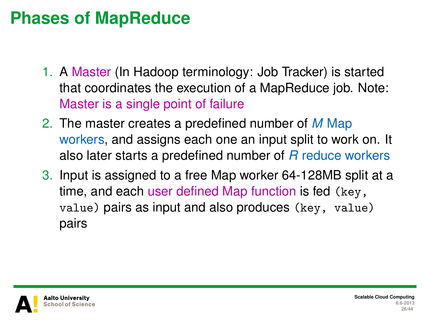#### **Phases of MapReduce**

- 1. A Master (In Hadoop terminology: Job Tracker) is started that coordinates the execution of a MapReduce job. Note: Master is a single point of failure
- 2. The master creates a predefined number of *M* Map workers, and assigns each one an input split to work on. It also later starts a predefined number of *R* reduce workers
- 3. Input is assigned to a free Map worker 64-128MB split at a time, and each user defined Map function is fed (key, value) pairs as input and also produces (key, value) pairs

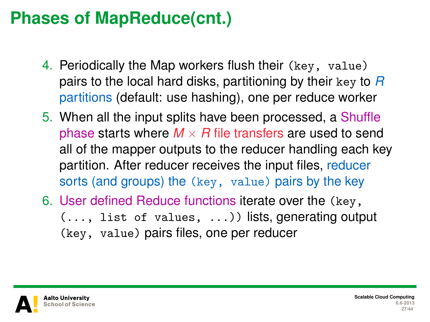## **Phases of MapReduce(cnt.)**

- 4. Periodically the Map workers flush their (key, value) pairs to the local hard disks, partitioning by their key to *R* partitions (default: use hashing), one per reduce worker
- 5. When all the input splits have been processed, a Shuffle phase starts where  $M \times R$  file transfers are used to send all of the mapper outputs to the reducer handling each key partition. After reducer receives the input files, reducer sorts (and groups) the (key, value) pairs by the key
- 6. User defined Reduce functions iterate over the (key, (..., list of values, ...)) lists, generating output (key, value) pairs files, one per reducer

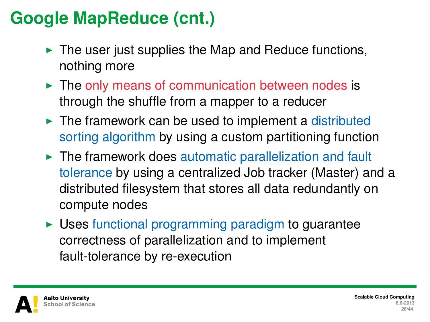# **Google MapReduce (cnt.)**

- $\blacktriangleright$  The user just supplies the Map and Reduce functions, nothing more
- $\blacktriangleright$  The only means of communication between nodes is through the shuffle from a mapper to a reducer
- $\blacktriangleright$  The framework can be used to implement a distributed sorting algorithm by using a custom partitioning function
- $\blacktriangleright$  The framework does automatic parallelization and fault tolerance by using a centralized Job tracker (Master) and a distributed filesystem that stores all data redundantly on compute nodes
- $\triangleright$  Uses functional programming paradigm to guarantee correctness of parallelization and to implement fault-tolerance by re-execution

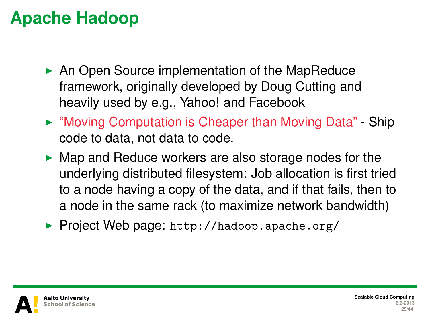# **Apache Hadoop**

- $\triangleright$  An Open Source implementation of the MapReduce framework, originally developed by Doug Cutting and heavily used by e.g., Yahoo! and Facebook
- ► "Moving Computation is Cheaper than Moving Data" Ship code to data, not data to code.
- $\blacktriangleright$  Map and Reduce workers are also storage nodes for the underlying distributed filesystem: Job allocation is first tried to a node having a copy of the data, and if that fails, then to a node in the same rack (to maximize network bandwidth)
- ▶ Project Web page: <http://hadoop.apache.org/>

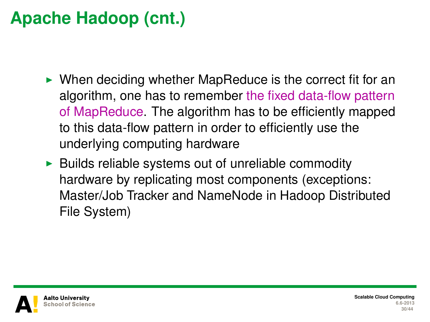# **Apache Hadoop (cnt.)**

- $\triangleright$  When deciding whether MapReduce is the correct fit for an algorithm, one has to remember the fixed data-flow pattern of MapReduce. The algorithm has to be efficiently mapped to this data-flow pattern in order to efficiently use the underlying computing hardware
- $\triangleright$  Builds reliable systems out of unreliable commodity hardware by replicating most components (exceptions: Master/Job Tracker and NameNode in Hadoop Distributed File System)

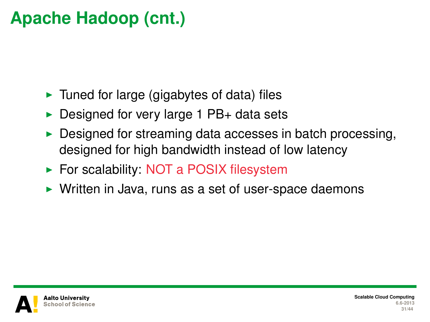# **Apache Hadoop (cnt.)**

- $\blacktriangleright$  Tuned for large (gigabytes of data) files
- $\triangleright$  Designed for very large 1 PB+ data sets
- Designed for streaming data accesses in batch processing, designed for high bandwidth instead of low latency
- $\triangleright$  For scalability: NOT a POSIX filesystem
- $\triangleright$  Written in Java, runs as a set of user-space daemons

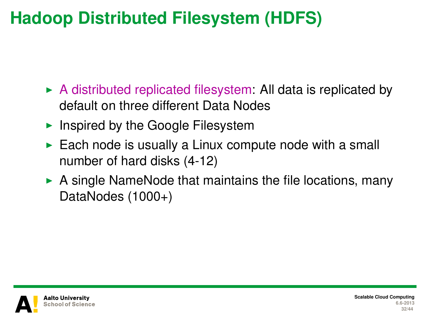# **Hadoop Distributed Filesystem (HDFS)**

- $\triangleright$  A distributed replicated filesystem: All data is replicated by default on three different Data Nodes
- Inspired by the Google Filesystem
- $\blacktriangleright$  Each node is usually a Linux compute node with a small number of hard disks (4-12)
- $\triangleright$  A single NameNode that maintains the file locations, many DataNodes (1000+)

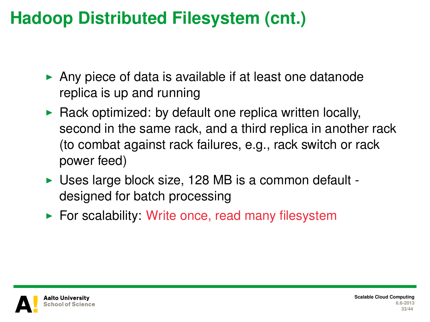## **Hadoop Distributed Filesystem (cnt.)**

- $\triangleright$  Any piece of data is available if at least one datanode replica is up and running
- $\triangleright$  Rack optimized: by default one replica written locally, second in the same rack, and a third replica in another rack (to combat against rack failures, e.g., rack switch or rack power feed)
- $\triangleright$  Uses large block size, 128 MB is a common default designed for batch processing
- $\triangleright$  For scalability: Write once, read many filesystem

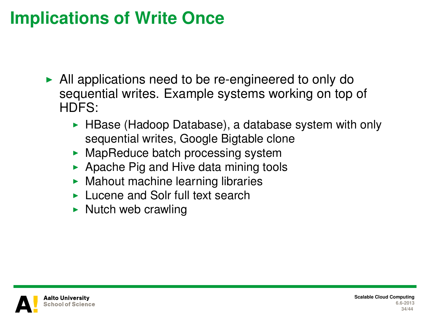## **Implications of Write Once**

- $\blacktriangleright$  All applications need to be re-engineered to only do sequential writes. Example systems working on top of HDFS:
	- HBase (Hadoop Database), a database system with only sequential writes, Google Bigtable clone
	- $\blacktriangleright$  MapReduce batch processing system
	- $\blacktriangleright$  Apache Pig and Hive data mining tools
	- $\blacktriangleright$  Mahout machine learning libraries
	- $\blacktriangleright$  Lucene and Solr full text search
	- $\triangleright$  Nutch web crawling

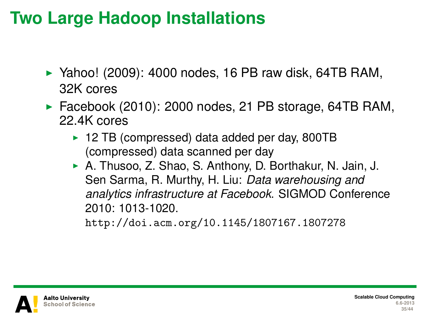## **Two Large Hadoop Installations**

- $\blacktriangleright$  Yahoo! (2009): 4000 nodes, 16 PB raw disk, 64TB RAM, 32K cores
- $\blacktriangleright$  Facebook (2010): 2000 nodes, 21 PB storage, 64TB RAM, 22.4K cores
	- $\triangleright$  12 TB (compressed) data added per day, 800TB (compressed) data scanned per day
	- A. Thusoo, Z. Shao, S. Anthony, D. Borthakur, N. Jain, J. Sen Sarma, R. Murthy, H. Liu: *Data warehousing and analytics infrastructure at Facebook*. SIGMOD Conference 2010: 1013-1020.

<http://doi.acm.org/10.1145/1807167.1807278>

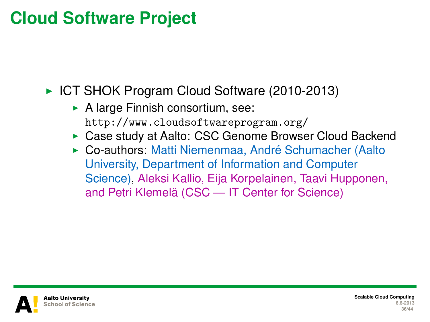## **Cloud Software Project**

► ICT SHOK Program Cloud Software (2010-2013)

- $\triangleright$  A large Finnish consortium, see: <http://www.cloudsoftwareprogram.org/>
- ▶ Case study at Aalto: CSC Genome Browser Cloud Backend
- ► Co-authors: Matti Niemenmaa, André Schumacher (Aalto University, Department of Information and Computer Science), Aleksi Kallio, Eija Korpelainen, Taavi Hupponen, and Petri Klemelä (CSC — IT Center for Science)

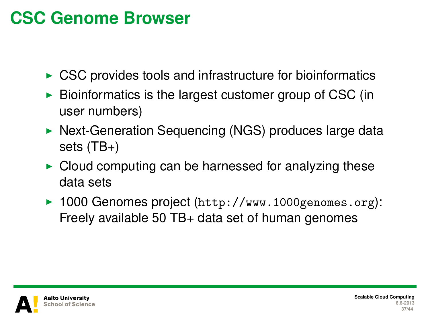## **CSC Genome Browser**

- $\triangleright$  CSC provides tools and infrastructure for bioinformatics
- $\triangleright$  Bioinformatics is the largest customer group of CSC (in user numbers)
- $\triangleright$  Next-Generation Sequencing (NGS) produces large data sets (TB+)
- $\triangleright$  Cloud computing can be harnessed for analyzing these data sets
- ▶ 1000 Genomes project (<http://www.1000genomes.org>): Freely available 50 TB+ data set of human genomes

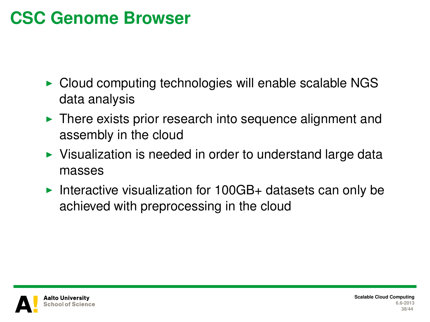## **CSC Genome Browser**

- $\triangleright$  Cloud computing technologies will enable scalable NGS data analysis
- $\blacktriangleright$  There exists prior research into sequence alignment and assembly in the cloud
- $\triangleright$  Visualization is needed in order to understand large data masses
- Interactive visualization for  $100GB+$  datasets can only be achieved with preprocessing in the cloud

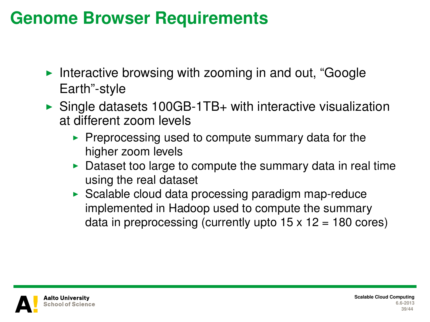#### **Genome Browser Requirements**

- Interactive browsing with zooming in and out, "Google" Earth"-style
- $\triangleright$  Single datasets 100GB-1TB+ with interactive visualization at different zoom levels
	- $\triangleright$  Preprocessing used to compute summary data for the higher zoom levels
	- Dataset too large to compute the summary data in real time using the real dataset
	- $\triangleright$  Scalable cloud data processing paradigm map-reduce implemented in Hadoop used to compute the summary data in preprocessing (currently upto  $15 \times 12 = 180$  cores)

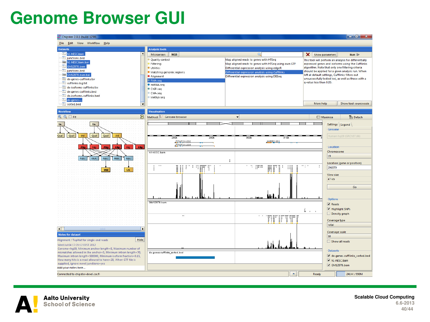#### **Genome Browser GUI**

| Chipster 2.0.1 (build 1238)                                                                                                       |                                        |              |                                                                                                     |                         | $-0-x$                                                                                                 |
|-----------------------------------------------------------------------------------------------------------------------------------|----------------------------------------|--------------|-----------------------------------------------------------------------------------------------------|-------------------------|--------------------------------------------------------------------------------------------------------|
| Eife Edit View Workflow Help                                                                                                      |                                        |              |                                                                                                     |                         |                                                                                                        |
| <b>Datasets</b>                                                                                                                   | <b>Analysis tools</b>                  |              |                                                                                                     |                         |                                                                                                        |
| h1-hESC.bam                                                                                                                       | Microarrays                            | <b>NGS</b>   | $\Theta$                                                                                            | X Show parameters       | Run <sup>[p-</sup>                                                                                     |
| <b>El junctions</b> , bed<br>ht-hESC.bam.bai                                                                                      | Ouality control                        |              | Map aligned reads to genes with HTSeg                                                               |                         | This tool will perform an analysis for differentially                                                  |
| Ð<br>GM12678.bam                                                                                                                  | <b>Filtering</b><br><b>· Utilities</b> |              | Map aligned reads to genes with HTSeg using own GTF<br>Differential expression analysis using edgeR |                         | expressed genes and isoforms using the Cufflinks<br>algorithm. Note that only one filtering criteria.  |
| <b>El junctions</b> , bed                                                                                                         | · Matching genomic regions             |              | Differential expression analysis using Cufflinks                                                    |                         | should be applied for a given analysis run. When                                                       |
| GM12678.bam.bai<br><b>Seed</b>                                                                                                    | · Alignment                            |              | Differential expression analysis using DESeg                                                        |                         | left at default settings, Cufflinks filters out<br>unsuccessfully tested loci, as well as those with a |
| de-genes-cufflinks.tsv<br>Cuffinks-loa.bd                                                                                         | <b>RNA-seq</b>                         |              |                                                                                                     | a-value less than 0.05. |                                                                                                        |
| de-isoforms-cufflinks.tsv                                                                                                         | · miRNA-seq<br>· ChIP-seq              |              |                                                                                                     |                         |                                                                                                        |
| de-genes-cufflinks.bed                                                                                                            | CNA-seq                                |              |                                                                                                     |                         |                                                                                                        |
| de-Isoforms-cufflinks.bed                                                                                                         | Methyliseg                             |              |                                                                                                     |                         |                                                                                                        |
| de-genes<br>Disorted.bed                                                                                                          |                                        |              |                                                                                                     | More help               | Show tool sourcecode                                                                                   |
|                                                                                                                                   |                                        |              |                                                                                                     |                         |                                                                                                        |
| Worldfow                                                                                                                          | Visualisation                          |              |                                                                                                     |                         |                                                                                                        |
| $QQ \Box H$<br>回                                                                                                                  | Method: E Genome browser               |              |                                                                                                     | Maximise                | <sup>7</sup> - Detach                                                                                  |
| file.<br>fie                                                                                                                      |                                        |              |                                                                                                     |                         | Settings Legend                                                                                        |
|                                                                                                                                   |                                        |              |                                                                                                     |                         | Genome                                                                                                 |
| Qall<br>Qual<br><b>Ust</b><br>Out<br>Out<br>Ust                                                                                   |                                        |              | æ                                                                                                   |                         | Human ho19 (GRCh37.66)                                                                                 |
|                                                                                                                                   |                                        | PPAP20.202   | MIE82.201                                                                                           |                         |                                                                                                        |
| Alia<br>Alla<br>Alla<br>Alla<br>Alia.                                                                                             |                                        |              |                                                                                                     |                         | Location                                                                                               |
|                                                                                                                                   | h1-hESC.bam                            |              |                                                                                                     |                         | Chenmosome                                                                                             |
| 8M <sub>o</sub><br>$314 -$<br>RMA.<br><b>FRA</b><br>Free.                                                                         |                                        |              |                                                                                                     |                         | 19                                                                                                     |
|                                                                                                                                   |                                        |              |                                                                                                     |                         | Location (gene or position)                                                                            |
| Util<br><b>Dat</b>                                                                                                                | $\cdots$                               | ÷<br>Ë       | 1.3.100<br>m<br>4                                                                                   | mg in<br>÷              | 296979                                                                                                 |
|                                                                                                                                   |                                        |              |                                                                                                     |                         | View size                                                                                              |
|                                                                                                                                   |                                        |              |                                                                                                     |                         | 47 k <sub>b</sub>                                                                                      |
|                                                                                                                                   |                                        |              |                                                                                                     |                         |                                                                                                        |
|                                                                                                                                   |                                        |              |                                                                                                     |                         | Go                                                                                                     |
|                                                                                                                                   |                                        |              |                                                                                                     |                         |                                                                                                        |
|                                                                                                                                   |                                        |              |                                                                                                     |                         | Options                                                                                                |
|                                                                                                                                   | GM12878.bam                            |              |                                                                                                     |                         | Reads                                                                                                  |
|                                                                                                                                   |                                        |              |                                                                                                     | in a                    | Highlight SNPs                                                                                         |
|                                                                                                                                   |                                        | $\mathbf{r}$ |                                                                                                     |                         | Density graph                                                                                          |
|                                                                                                                                   |                                        |              | nrin<br>Ŧ                                                                                           |                         | Coverage type                                                                                          |
| $\blacksquare$                                                                                                                    |                                        |              |                                                                                                     |                         | total                                                                                                  |
| ь<br><b>Notes for dataset</b>                                                                                                     |                                        |              |                                                                                                     |                         | Coverage scale                                                                                         |
| <b>Hide</b><br>Alignment / TopHat for single end reads                                                                            |                                        |              |                                                                                                     |                         | so.                                                                                                    |
| Wed Jul 04 17:21:12 EEST 2012                                                                                                     |                                        |              |                                                                                                     |                         | Ohow all reads                                                                                         |
| Genome=ha19. Minimum anchor length=8. Maximum number of                                                                           |                                        |              |                                                                                                     |                         | <b>Datasets</b>                                                                                        |
| mismatches allowed in the anchor=0, Minimum intron length=70,<br>Maximum intron length = 500000, Minimum isoform fraction = 0.15. | de-generauffinks_samed.bed             |              |                                                                                                     |                         | de-genes-cufflinks sorted.bed                                                                          |
| How many hits is a read allowed to have=20, When GTF file is                                                                      |                                        |              |                                                                                                     |                         | V ht-hESC.ham                                                                                          |
| supplied, ignore novel junctions-yes                                                                                              |                                        |              |                                                                                                     |                         | GM12878.bam                                                                                            |
| Add your notes here                                                                                                               |                                        |              |                                                                                                     |                         |                                                                                                        |
| Connected to chipster-devel.csc.fi                                                                                                |                                        |              | ۰                                                                                                   | Ready                   | 241M / 990M                                                                                            |



**Scalable Cloud Computing 6.6-2013 40/44**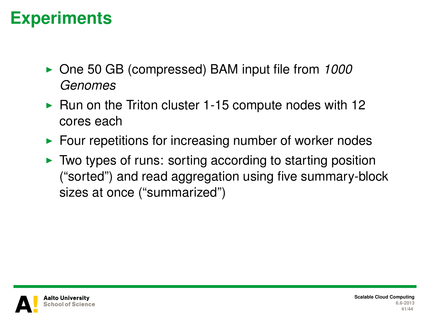#### **Experiments**

- ▶ One 50 GB (compressed) BAM input file from 1000 *Genomes*
- $\blacktriangleright$  Run on the Triton cluster 1-15 compute nodes with 12 cores each
- $\blacktriangleright$  Four repetitions for increasing number of worker nodes
- $\triangleright$  Two types of runs: sorting according to starting position ("sorted") and read aggregation using five summary-block sizes at once ("summarized")

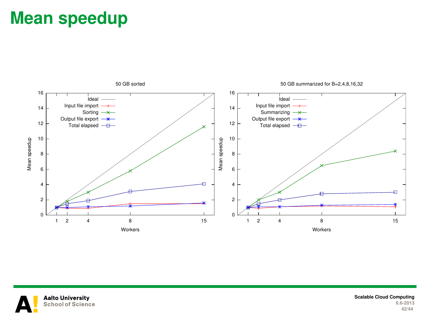#### **Mean speedup**





**Scalable Cloud Computing 6.6-2013 42/44**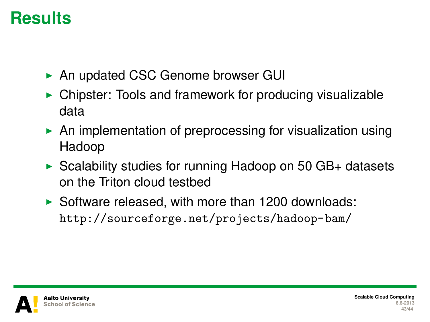## **Results**

- ▶ An updated CSC Genome browser GUI
- $\triangleright$  Chipster: Tools and framework for producing visualizable data
- $\triangleright$  An implementation of preprocessing for visualization using Hadoop
- $\triangleright$  Scalability studies for running Hadoop on 50 GB+ datasets on the Triton cloud testbed
- $\triangleright$  Software released, with more than 1200 downloads: <http://sourceforge.net/projects/hadoop-bam/>